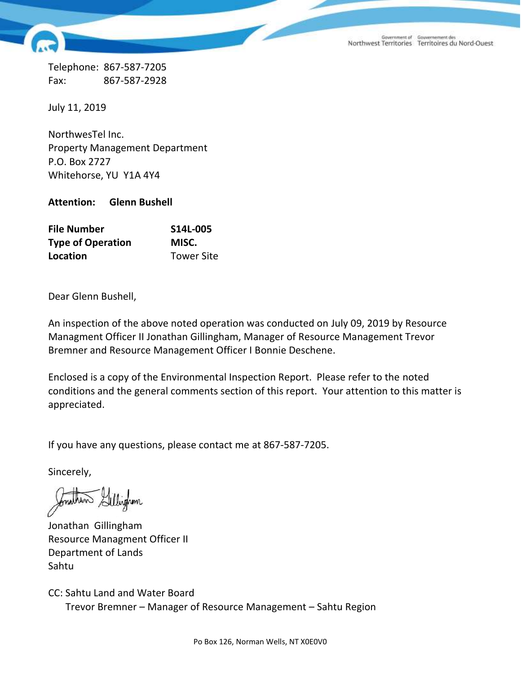Government of Gouvernement des<br>Northwest Territories Territoires du Nord-Ouest

Telephone: 867-587-7205 Fax: 867-587-2928

July 11, 2019

NorthwesTel Inc. Property Management Department P.O. Box 2727 Whitehorse, YU Y1A 4Y4

**Attention: Glenn Bushell**

| <b>File Number</b>       | S14L-005          |
|--------------------------|-------------------|
| <b>Type of Operation</b> | MISC.             |
| Location                 | <b>Tower Site</b> |

Dear Glenn Bushell,

An inspection of the above noted operation was conducted on July 09, 2019 by Resource Managment Officer II Jonathan Gillingham, Manager of Resource Management Trevor Bremner and Resource Management Officer I Bonnie Deschene.

Enclosed is a copy of the Environmental Inspection Report. Please refer to the noted conditions and the general comments section of this report. Your attention to this matter is appreciated.

If you have any questions, please contact me at 867-587-7205.

Sincerely,

Jonathan Gillingham Resource Managment Officer II Department of Lands Sahtu

CC: Sahtu Land and Water Board Trevor Bremner – Manager of Resource Management – Sahtu Region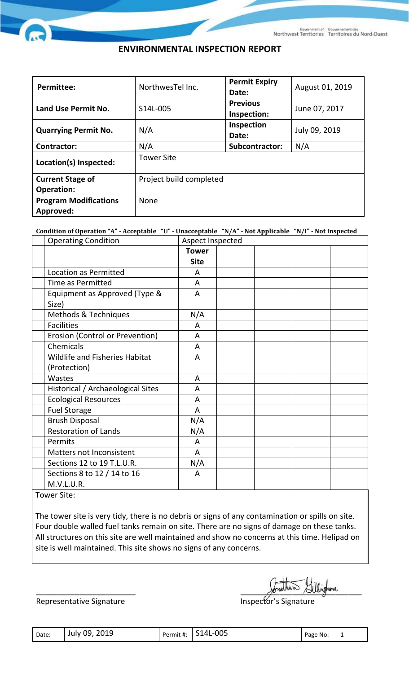## **ENVIRONMENTAL INSPECTION REPORT**

| <b>Permittee:</b>            | NorthwesTellnc.         | <b>Permit Expiry</b><br>Date:  | August 01, 2019 |
|------------------------------|-------------------------|--------------------------------|-----------------|
| Land Use Permit No.          | S14L-005                | <b>Previous</b><br>Inspection: | June 07, 2017   |
| <b>Quarrying Permit No.</b>  | N/A                     | Inspection<br>Date:            | July 09, 2019   |
| <b>Contractor:</b>           | N/A                     | Subcontractor:                 | N/A             |
| Location(s) Inspected:       | <b>Tower Site</b>       |                                |                 |
| <b>Current Stage of</b>      | Project build completed |                                |                 |
| <b>Operation:</b>            |                         |                                |                 |
| <b>Program Modifications</b> | <b>None</b>             |                                |                 |
| Approved:                    |                         |                                |                 |

**Condition of Operation "A" - Acceptable "U" - Unacceptable "N/A" - Not Applicable "N/I" - Not Inspected**

|                   | <b>Operating Condition</b>            | Aspect Inspected |  |  |  |
|-------------------|---------------------------------------|------------------|--|--|--|
|                   |                                       | <b>Tower</b>     |  |  |  |
|                   |                                       | <b>Site</b>      |  |  |  |
|                   | Location as Permitted                 | A                |  |  |  |
|                   | <b>Time as Permitted</b>              | A                |  |  |  |
|                   | Equipment as Approved (Type &         | $\overline{A}$   |  |  |  |
| Size)             |                                       |                  |  |  |  |
|                   | Methods & Techniques                  | N/A              |  |  |  |
| <b>Facilities</b> |                                       | A                |  |  |  |
|                   | Erosion (Control or Prevention)       | A                |  |  |  |
|                   | Chemicals                             | A                |  |  |  |
|                   | <b>Wildlife and Fisheries Habitat</b> | A                |  |  |  |
|                   | (Protection)                          |                  |  |  |  |
| Wastes            |                                       | A                |  |  |  |
|                   | Historical / Archaeological Sites     | A                |  |  |  |
|                   | <b>Ecological Resources</b>           | A                |  |  |  |
|                   | <b>Fuel Storage</b>                   | A                |  |  |  |
|                   | <b>Brush Disposal</b>                 | N/A              |  |  |  |
|                   | <b>Restoration of Lands</b>           | N/A              |  |  |  |
| Permits           |                                       | A                |  |  |  |
|                   | Matters not Inconsistent              | A                |  |  |  |
|                   | Sections 12 to 19 T.L.U.R.            | N/A              |  |  |  |
|                   | Sections 8 to 12 / 14 to 16           | A                |  |  |  |
|                   | M.V.L.U.R.                            |                  |  |  |  |

Tower Site:

The tower site is very tidy, there is no debris or signs of any contamination or spills on site. Four double walled fuel tanks remain on site. There are no signs of damage on these tanks. All structures on this site are well maintained and show no concerns at this time. Helipad on site is well maintained. This site shows no signs of any concerns.

Representative Signature **Inspector's Signature** Inspector's Signature

 $\gamma$ onning and  $\gamma$  and  $\gamma$ 

| Date: | July 09, 2019 |  | Permit #: S14L-005 | Page No: |  |
|-------|---------------|--|--------------------|----------|--|
|-------|---------------|--|--------------------|----------|--|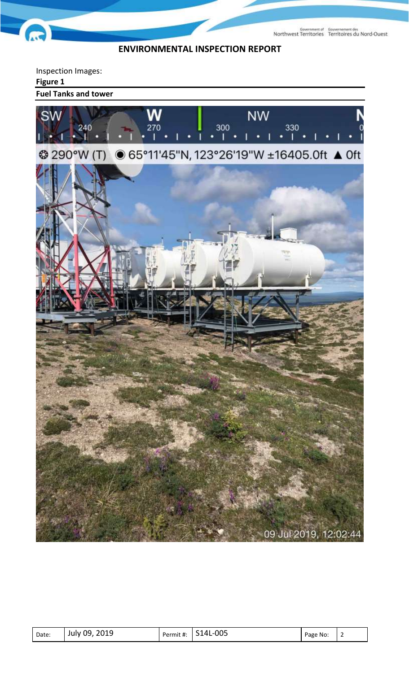Government of Gouvernement des<br>Northwest Territories Territoires du Nord-Ouest

## **ENVIRONMENTAL INSPECTION REPORT**

Inspection Images: **Figure 1 Fuel Tanks and towerNW SW** 270 300 330  $\mathsf{L}$  . ٠ r 1 **<sup>3</sup>290°W (T)** ● 65°11'45"N, 123°26'19"W ±16405.0ft ▲ 0ft 09 Jul 2019, 12:02:44

| 2019<br>$-005$<br>14L<br>July 09<br>Date:<br>Permit #:<br>Page<br>No:<br>ັ |
|----------------------------------------------------------------------------|
|----------------------------------------------------------------------------|